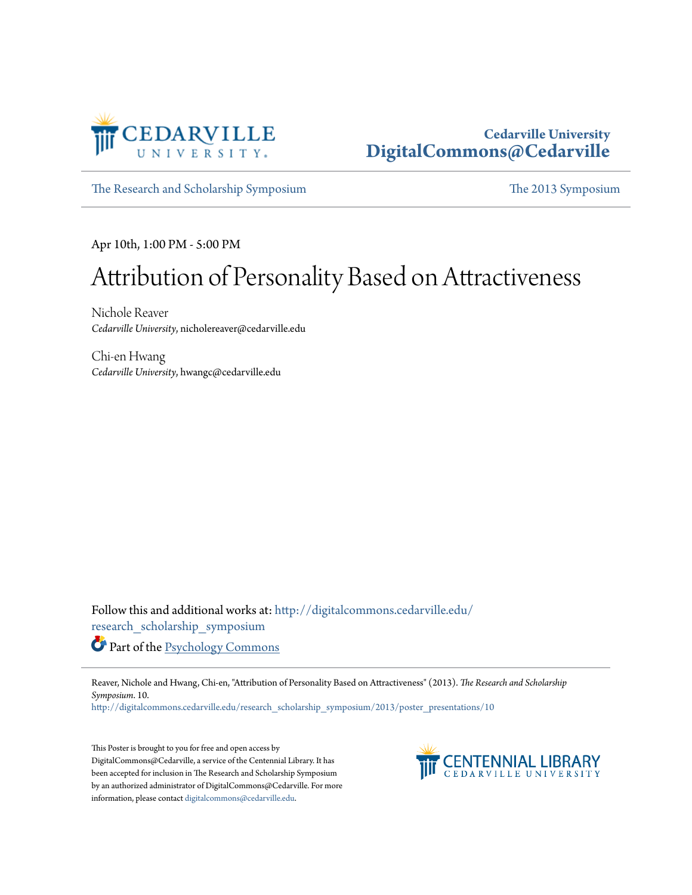

#### **Cedarville University [DigitalCommons@Cedarville](http://digitalcommons.cedarville.edu?utm_source=digitalcommons.cedarville.edu%2Fresearch_scholarship_symposium%2F2013%2Fposter_presentations%2F10&utm_medium=PDF&utm_campaign=PDFCoverPages)**

[The Research and Scholarship Symposium](http://digitalcommons.cedarville.edu/research_scholarship_symposium?utm_source=digitalcommons.cedarville.edu%2Fresearch_scholarship_symposium%2F2013%2Fposter_presentations%2F10&utm_medium=PDF&utm_campaign=PDFCoverPages) [The 2013 Symposium](http://digitalcommons.cedarville.edu/research_scholarship_symposium/2013?utm_source=digitalcommons.cedarville.edu%2Fresearch_scholarship_symposium%2F2013%2Fposter_presentations%2F10&utm_medium=PDF&utm_campaign=PDFCoverPages)

Apr 10th, 1:00 PM - 5:00 PM

#### Attribution of Personality Based on Attractiveness

Nichole Reaver *Cedarville University*, nicholereaver@cedarville.edu

Chi-en Hwang *Cedarville University*, hwangc@cedarville.edu

Follow this and additional works at: [http://digitalcommons.cedarville.edu/](http://digitalcommons.cedarville.edu/research_scholarship_symposium?utm_source=digitalcommons.cedarville.edu%2Fresearch_scholarship_symposium%2F2013%2Fposter_presentations%2F10&utm_medium=PDF&utm_campaign=PDFCoverPages) [research\\_scholarship\\_symposium](http://digitalcommons.cedarville.edu/research_scholarship_symposium?utm_source=digitalcommons.cedarville.edu%2Fresearch_scholarship_symposium%2F2013%2Fposter_presentations%2F10&utm_medium=PDF&utm_campaign=PDFCoverPages)

Part of the [Psychology Commons](http://network.bepress.com/hgg/discipline/404?utm_source=digitalcommons.cedarville.edu%2Fresearch_scholarship_symposium%2F2013%2Fposter_presentations%2F10&utm_medium=PDF&utm_campaign=PDFCoverPages)

Reaver, Nichole and Hwang, Chi-en, "Attribution of Personality Based on Attractiveness" (2013). *The Research and Scholarship Symposium*. 10.

[http://digitalcommons.cedarville.edu/research\\_scholarship\\_symposium/2013/poster\\_presentations/10](http://digitalcommons.cedarville.edu/research_scholarship_symposium/2013/poster_presentations/10?utm_source=digitalcommons.cedarville.edu%2Fresearch_scholarship_symposium%2F2013%2Fposter_presentations%2F10&utm_medium=PDF&utm_campaign=PDFCoverPages)

This Poster is brought to you for free and open access by DigitalCommons@Cedarville, a service of the Centennial Library. It has been accepted for inclusion in The Research and Scholarship Symposium by an authorized administrator of DigitalCommons@Cedarville. For more information, please contact [digitalcommons@cedarville.edu.](mailto:digitalcommons@cedarville.edu)